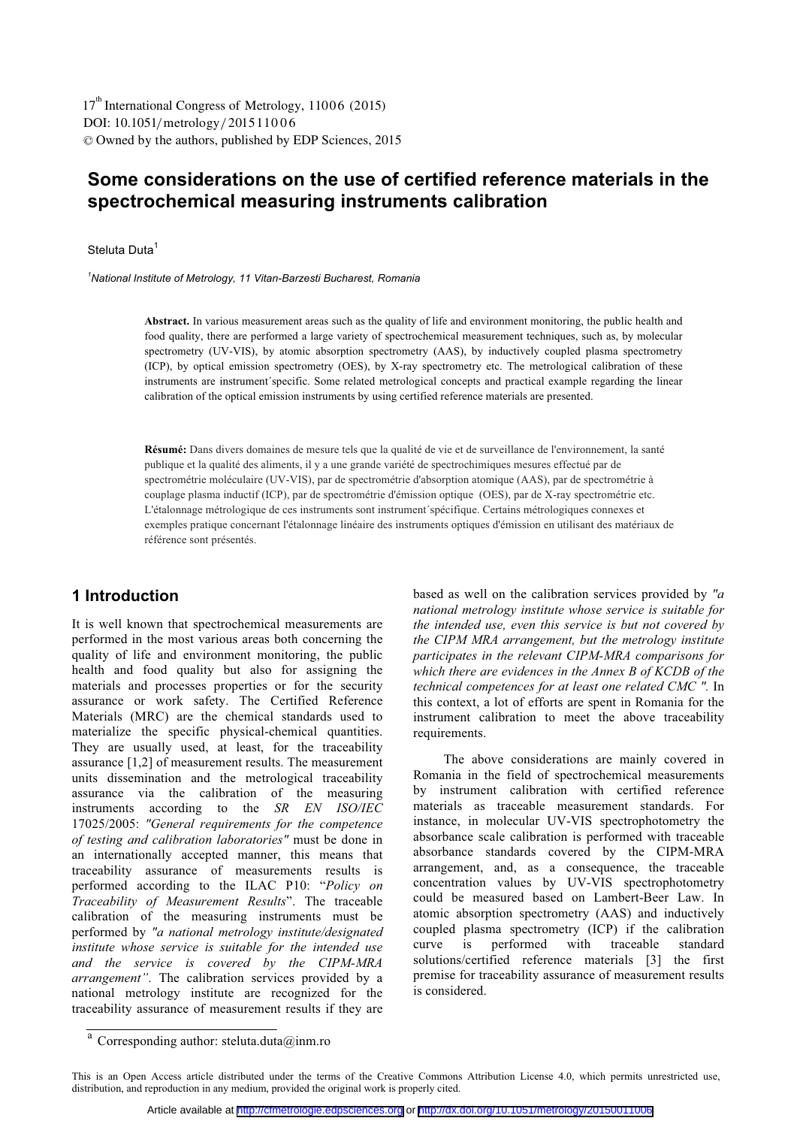DOI: 10.1051/ metrology/2015 110 0 6 -<sup>C</sup> Owned by the authors, published by EDP Sciences, 2015 17<sup>th</sup> International Congress of Metrology, 11006 (2015)

## **Some considerations on the use of certified reference materials in the spectrochemical measuring instruments calibration**

Steluta Duta<sup>1</sup>

<sup>1</sup>National Institute of Metrology, 11 Vitan-Barzesti Bucharest, Romania *National Institute of Metrology, 11 Vitan-Barzesti Bucharest, Romania* 

> **Abstract.** In various measurement areas such as the quality of life and environment monitoring, the public health and food quality, there are performed a large variety of spectrochemical measurement techniques, such as, by molecular spectrometry (UV-VIS), by atomic absorption spectrometry (AAS), by inductively coupled plasma spectrometry (ICP), by optical emission spectrometry (OES), by X-ray spectrometry etc. The metrological calibration of these instruments are instrument´specific. Some related metrological concepts and practical example regarding the linear calibration of the optical emission instruments by using certified reference materials are presented.

**Résumé:** Dans divers domaines de mesure tels que la qualité de vie et de surveillance de l'environnement, la santé publique et la qualité des aliments, il y a une grande variété de spectrochimiques mesures effectué par de spectrométrie moléculaire (UV-VIS), par de spectrométrie d'absorption atomique (AAS), par de spectrométrie à couplage plasma inductif (ICP), par de spectrométrie d'émission optique (OES), par de X-ray spectrométrie etc. L'étalonnage métrologique de ces instruments sont instrument´spécifique. Certains métrologiques connexes et exemples pratique concernant l'étalonnage linéaire des instruments optiques d'émission en utilisant des matériaux de référence sont présentés.

## **1 Introduction**

It is well known that spectrochemical measurements are performed in the most various areas both concerning the quality of life and environment monitoring, the public health and food quality but also for assigning the materials and processes properties or for the security assurance or work safety. The Certified Reference Materials (MRC) are the chemical standards used to materialize the specific physical-chemical quantities. They are usually used, at least, for the traceability assurance [1,2] of measurement results. The measurement units dissemination and the metrological traceability assurance via the calibration of the measuring instruments according to the *SR EN ISO/IEC* 17025/2005: *"General requirements for the competence of testing and calibration laboratories"* must be done in an internationally accepted manner, this means that traceability assurance of measurements results is performed according to the ILAC P10: "*Policy on Traceability of Measurement Results*". The traceable calibration of the measuring instruments must be performed by *"a national metrology institute/designated institute whose service is suitable for the intended use and the service is covered by the CIPM-MRA arrangement"*. The calibration services provided by a national metrology institute are recognized for the traceability assurance of measurement results if they are

based as well on the calibration services provided by *"a national metrology institute whose service is suitable for the intended use, even this service is but not covered by the CIPM MRA arrangement, but the metrology institute participates in the relevant CIPM-MRA comparisons for which there are evidences in the Annex B of KCDB of the technical competences for at least one related CMC ".* In this context, a lot of efforts are spent in Romania for the instrument calibration to meet the above traceability requirements.

The above considerations are mainly covered in Romania in the field of spectrochemical measurements by instrument calibration with certified reference materials as traceable measurement standards. For instance, in molecular UV-VIS spectrophotometry the absorbance scale calibration is performed with traceable absorbance standards covered by the CIPM-MRA arrangement, and, as a consequence, the traceable concentration values by UV-VIS spectrophotometry could be measured based on Lambert-Beer Law. In atomic absorption spectrometry (AAS) and inductively coupled plasma spectrometry (ICP) if the calibration curve is performed with traceable standard solutions/certified reference materials [3] the first premise for traceability assurance of measurement results is considered.

<sup>&</sup>lt;sup>a</sup> Corresponding author: steluta.duta@inm.ro

This is an Open Access article distributed under the terms of the Creative Commons Attribution License 4.0, which permits unrestricted use, distribution, and reproduction in any medium, provided the original work is properly cited.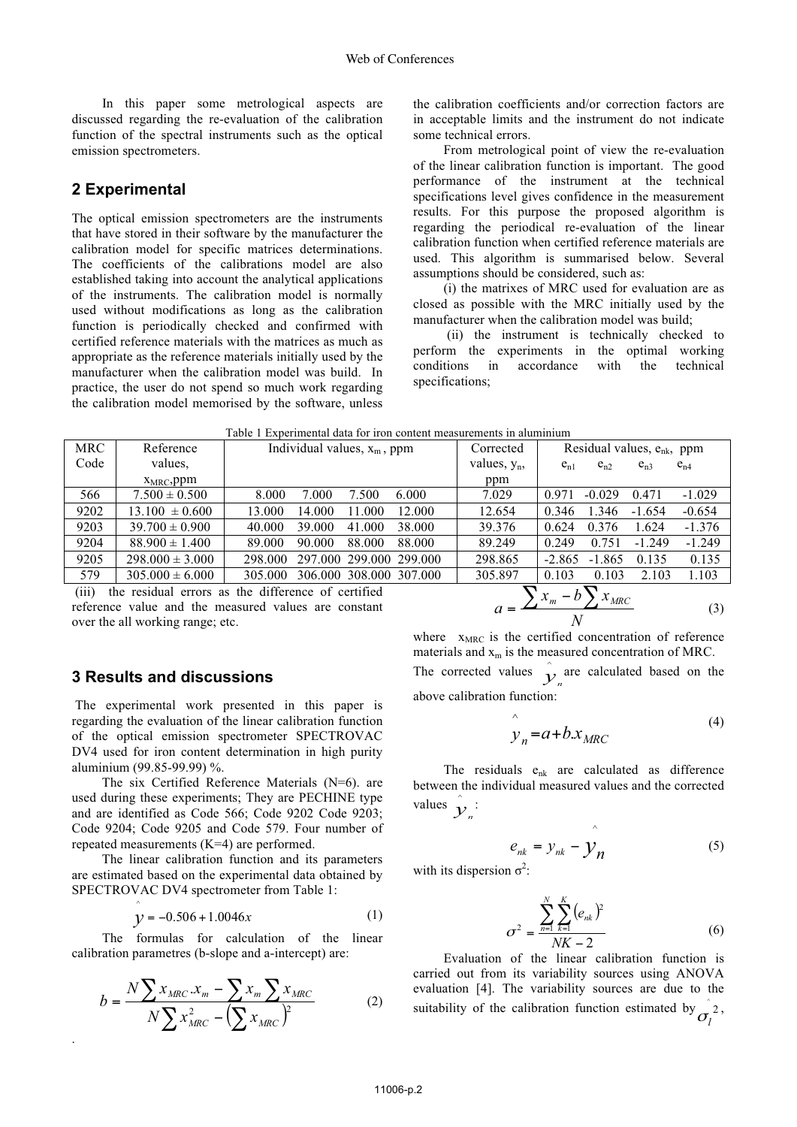In this paper some metrological aspects are discussed regarding the re-evaluation of the calibration function of the spectral instruments such as the optical emission spectrometers.

### **2 Experimental**

The optical emission spectrometers are the instruments that have stored in their software by the manufacturer the calibration model for specific matrices determinations. The coefficients of the calibrations model are also established taking into account the analytical applications of the instruments. The calibration model is normally used without modifications as long as the calibration function is periodically checked and confirmed with certified reference materials with the matrices as much as appropriate as the reference materials initially used by the manufacturer when the calibration model was build. In practice, the user do not spend so much work regarding the calibration model memorised by the software, unless the calibration coefficients and/or correction factors are in acceptable limits and the instrument do not indicate some technical errors.

From metrological point of view the re-evaluation of the linear calibration function is important. The good performance of the instrument at the technical specifications level gives confidence in the measurement results. For this purpose the proposed algorithm is regarding the periodical re-evaluation of the linear calibration function when certified reference materials are used. This algorithm is summarised below. Several assumptions should be considered, such as:

(i) the matrixes of MRC used for evaluation are as closed as possible with the MRC initially used by the manufacturer when the calibration model was build;

 (ii) the instrument is technically checked to perform the experiments in the optimal working conditions in accordance with the technical specifications;

| Table T Experimental data for fron content measurements in aluminium                     |                     |                                             |                 |                                              |  |  |  |  |
|------------------------------------------------------------------------------------------|---------------------|---------------------------------------------|-----------------|----------------------------------------------|--|--|--|--|
| <b>MRC</b>                                                                               | Reference           | Individual values, $x_m$ , ppm<br>Corrected |                 | Residual values, $e_{nk}$ , ppm              |  |  |  |  |
| Code                                                                                     | values.             |                                             | values, $y_n$ , | $e_{n1}$<br>$e_{n2}$<br>$e_{n4}$<br>$e_{n3}$ |  |  |  |  |
|                                                                                          | $X_{MRC}$ , ppm     |                                             | ppm             |                                              |  |  |  |  |
| 566                                                                                      | $7.500 \pm 0.500$   | 7.000<br>7.500<br>6.000<br>8.000            | 7.029           | 0.971<br>$-1.029$<br>$-0.029$<br>0.471       |  |  |  |  |
| 9202                                                                                     | $13.100 \pm 0.600$  | 14.000<br>13.000<br>11.000<br>12.000        | 12.654          | $-0.654$<br>1.346<br>0.346<br>$-1.654$       |  |  |  |  |
| 9203                                                                                     | $39.700 \pm 0.900$  | 40.000<br>39.000<br>41.000<br>38.000        | 39.376          | $-1.376$<br>0.376<br>1.624<br>0.624          |  |  |  |  |
| 9204                                                                                     | $88.900 \pm 1.400$  | 89.000<br>90.000<br>88.000<br>88.000        | 89.249          | $-1.249$<br>0.249<br>0.751<br>$-1.249$       |  |  |  |  |
| 9205                                                                                     | $298.000 \pm 3.000$ | 297,000 299,000 299,000<br>298,000          | 298.865         | 0.135<br>$-1.865$<br>0.135<br>$-2.865$       |  |  |  |  |
| 579                                                                                      | $305.000 \pm 6.000$ | 306.000 308.000 307.000<br>305.000          | 305.897         | 1.103<br>0.103<br>0.103<br>2.103             |  |  |  |  |
| —<br>$\cdot$ $\blacksquare$<br>$(11)$ the second of concrete the difference of continual |                     |                                             |                 |                                              |  |  |  |  |

 $Table 1$  Experimental data for  $ir$ 

 (iii) the residual errors as the difference of certified reference value and the measured values are constant over the all working range; etc.

# **3 Results and discussions**

^

.

 The experimental work presented in this paper is regarding the evaluation of the linear calibration function of the optical emission spectrometer SPECTROVAC DV4 used for iron content determination in high purity aluminium (99.85-99.99) %.

The six Certified Reference Materials (N=6). are used during these experiments; They are PECHINE type and are identified as Code 566; Code 9202 Code 9203; Code 9204; Code 9205 and Code 579. Four number of repeated measurements (K=4) are performed.

 The linear calibration function and its parameters are estimated based on the experimental data obtained by SPECTROVAC DV4 spectrometer from Table 1:

$$
y = -0.506 + 1.0046x \tag{1}
$$

The formulas for calculation of the linear calibration parametres (b-slope and a-intercept) are:

$$
b = \frac{N \sum x_{MRC} . x_m - \sum x_m \sum x_{MRC}}{N \sum x_{MRC}^2 - (\sum x_{MRC})^2}
$$
(2)

$$
a = \frac{\sum x_m - b \sum x_{MRC}}{N}
$$
 (3)

where  $x_{MRC}$  is the certified concentration of reference materials and  $x_m$  is the measured concentration of MRC. The corrected values  $\hat{y}_n$  are calculated based on the above calibration function:

$$
\hat{y}_n = a + b \cdot x_{MRC} \tag{4}
$$

The residuals e<sub>nk</sub> are calculated as difference between the individual measured values and the corrected values  $\hat{\mathbf{y}}_n$ :

$$
e_{nk} = y_{nk} - \hat{y}_n
$$
 (5)  
with its dispersion  $\sigma^2$ :

$$
\sigma^2 = \frac{\sum_{n=1}^{N} \sum_{k=1}^{K} (e_{nk})^2}{NK - 2}
$$
 (6)

Evaluation of the linear calibration function is carried out from its variability sources using ANOVA evaluation [4]. The variability sources are due to the suitability of the calibration function estimated by  $\hat{z}$  $\sigma$ <sub>*l*</sub> ,